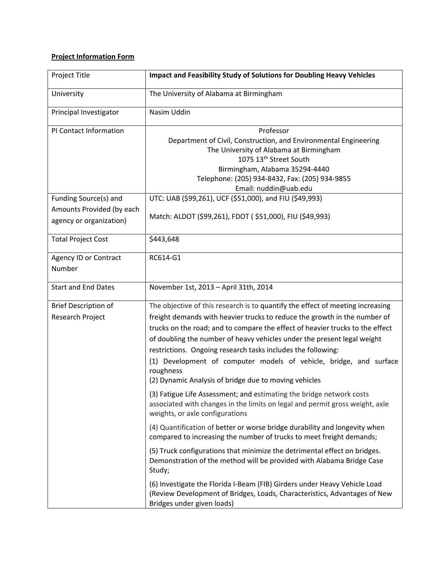## **Project Information Form**

| Project Title                                                                 | <b>Impact and Feasibility Study of Solutions for Doubling Heavy Vehicles</b>                                                                                                                                                                                                                                                                                                                                                                                                                                                        |
|-------------------------------------------------------------------------------|-------------------------------------------------------------------------------------------------------------------------------------------------------------------------------------------------------------------------------------------------------------------------------------------------------------------------------------------------------------------------------------------------------------------------------------------------------------------------------------------------------------------------------------|
| University                                                                    | The University of Alabama at Birmingham                                                                                                                                                                                                                                                                                                                                                                                                                                                                                             |
| Principal Investigator                                                        | Nasim Uddin                                                                                                                                                                                                                                                                                                                                                                                                                                                                                                                         |
| PI Contact Information                                                        | Professor<br>Department of Civil, Construction, and Environmental Engineering<br>The University of Alabama at Birmingham<br>1075 13 <sup>th</sup> Street South<br>Birmingham, Alabama 35294-4440<br>Telephone: (205) 934-8432, Fax: (205) 934-9855<br>Email: nuddin@uab.edu                                                                                                                                                                                                                                                         |
| Funding Source(s) and<br>Amounts Provided (by each<br>agency or organization) | UTC: UAB (\$99,261), UCF (\$51,000), and FIU (\$49,993)<br>Match: ALDOT (\$99,261), FDOT (\$51,000), FIU (\$49,993)                                                                                                                                                                                                                                                                                                                                                                                                                 |
| <b>Total Project Cost</b>                                                     | \$443,648                                                                                                                                                                                                                                                                                                                                                                                                                                                                                                                           |
| Agency ID or Contract<br>Number                                               | RC614-G1                                                                                                                                                                                                                                                                                                                                                                                                                                                                                                                            |
| <b>Start and End Dates</b>                                                    | November 1st, 2013 - April 31th, 2014                                                                                                                                                                                                                                                                                                                                                                                                                                                                                               |
| <b>Brief Description of</b><br>Research Project                               | The objective of this research is to quantify the effect of meeting increasing<br>freight demands with heavier trucks to reduce the growth in the number of<br>trucks on the road; and to compare the effect of heavier trucks to the effect<br>of doubling the number of heavy vehicles under the present legal weight<br>restrictions. Ongoing research tasks includes the following:<br>(1) Development of computer models of vehicle, bridge, and surface<br>roughness<br>(2) Dynamic Analysis of bridge due to moving vehicles |
|                                                                               | (3) Fatigue Life Assessment; and estimating the bridge network costs<br>associated with changes in the limits on legal and permit gross weight, axle<br>weights, or axle configurations                                                                                                                                                                                                                                                                                                                                             |
|                                                                               | (4) Quantification of better or worse bridge durability and longevity when<br>compared to increasing the number of trucks to meet freight demands;                                                                                                                                                                                                                                                                                                                                                                                  |
|                                                                               | (5) Truck configurations that minimize the detrimental effect on bridges.<br>Demonstration of the method will be provided with Alabama Bridge Case<br>Study;                                                                                                                                                                                                                                                                                                                                                                        |
|                                                                               | (6) Investigate the Florida I-Beam (FIB) Girders under Heavy Vehicle Load<br>(Review Development of Bridges, Loads, Characteristics, Advantages of New<br>Bridges under given loads)                                                                                                                                                                                                                                                                                                                                                |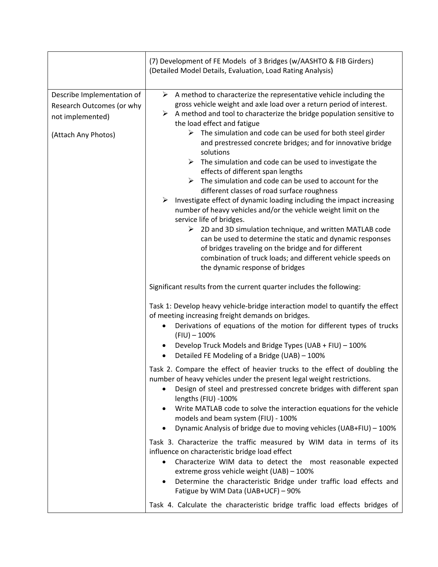|                                                                                                    | (7) Development of FE Models of 3 Bridges (w/AASHTO & FIB Girders)<br>(Detailed Model Details, Evaluation, Load Rating Analysis)                                                                                                                                                                                                                                                                                                                                                                                                                                                                                                                                                                                                                                                                                                                                                                                                                                                                                                                                                                                                                                       |
|----------------------------------------------------------------------------------------------------|------------------------------------------------------------------------------------------------------------------------------------------------------------------------------------------------------------------------------------------------------------------------------------------------------------------------------------------------------------------------------------------------------------------------------------------------------------------------------------------------------------------------------------------------------------------------------------------------------------------------------------------------------------------------------------------------------------------------------------------------------------------------------------------------------------------------------------------------------------------------------------------------------------------------------------------------------------------------------------------------------------------------------------------------------------------------------------------------------------------------------------------------------------------------|
| Describe Implementation of<br>Research Outcomes (or why<br>not implemented)<br>(Attach Any Photos) | $\triangleright$ A method to characterize the representative vehicle including the<br>gross vehicle weight and axle load over a return period of interest.<br>$\triangleright$ A method and tool to characterize the bridge population sensitive to<br>the load effect and fatigue<br>$\triangleright$ The simulation and code can be used for both steel girder<br>and prestressed concrete bridges; and for innovative bridge<br>solutions<br>$\triangleright$ The simulation and code can be used to investigate the<br>effects of different span lengths<br>$\triangleright$ The simulation and code can be used to account for the<br>different classes of road surface roughness<br>Investigate effect of dynamic loading including the impact increasing<br>➤<br>number of heavy vehicles and/or the vehicle weight limit on the<br>service life of bridges.<br>$\triangleright$ 2D and 3D simulation technique, and written MATLAB code<br>can be used to determine the static and dynamic responses<br>of bridges traveling on the bridge and for different<br>combination of truck loads; and different vehicle speeds on<br>the dynamic response of bridges |
|                                                                                                    | Significant results from the current quarter includes the following:<br>Task 1: Develop heavy vehicle-bridge interaction model to quantify the effect<br>of meeting increasing freight demands on bridges.<br>Derivations of equations of the motion for different types of trucks<br>٠<br>$(FIU) - 100\%$<br>Develop Truck Models and Bridge Types (UAB + FIU) - 100%<br>Detailed FE Modeling of a Bridge (UAB) - 100%<br>$\bullet$                                                                                                                                                                                                                                                                                                                                                                                                                                                                                                                                                                                                                                                                                                                                   |
|                                                                                                    | Task 2. Compare the effect of heavier trucks to the effect of doubling the<br>number of heavy vehicles under the present legal weight restrictions.<br>Design of steel and prestressed concrete bridges with different span<br>$\bullet$<br>lengths (FIU) -100%<br>Write MATLAB code to solve the interaction equations for the vehicle<br>٠<br>models and beam system (FIU) - 100%<br>Dynamic Analysis of bridge due to moving vehicles (UAB+FIU) - 100%<br>$\bullet$                                                                                                                                                                                                                                                                                                                                                                                                                                                                                                                                                                                                                                                                                                 |
|                                                                                                    | Task 3. Characterize the traffic measured by WIM data in terms of its<br>influence on characteristic bridge load effect<br>Characterize WIM data to detect the most reasonable expected<br>$\bullet$<br>extreme gross vehicle weight (UAB) - 100%<br>Determine the characteristic Bridge under traffic load effects and<br>Fatigue by WIM Data (UAB+UCF) - 90%                                                                                                                                                                                                                                                                                                                                                                                                                                                                                                                                                                                                                                                                                                                                                                                                         |
|                                                                                                    | Task 4. Calculate the characteristic bridge traffic load effects bridges of                                                                                                                                                                                                                                                                                                                                                                                                                                                                                                                                                                                                                                                                                                                                                                                                                                                                                                                                                                                                                                                                                            |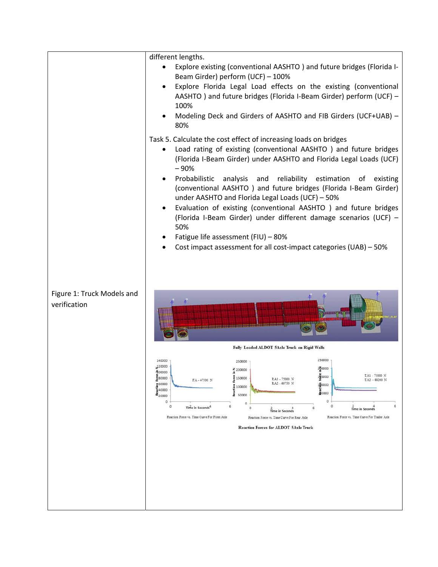|                            | different lengths.                                                                                                                            |
|----------------------------|-----------------------------------------------------------------------------------------------------------------------------------------------|
|                            | Explore existing (conventional AASHTO) and future bridges (Florida I-                                                                         |
|                            | Beam Girder) perform (UCF) - 100%                                                                                                             |
|                            | Explore Florida Legal Load effects on the existing (conventional                                                                              |
|                            | AASHTO) and future bridges (Florida I-Beam Girder) perform (UCF) -                                                                            |
|                            | 100%<br>Modeling Deck and Girders of AASHTO and FIB Girders (UCF+UAB) -                                                                       |
|                            | 80%                                                                                                                                           |
|                            | Task 5. Calculate the cost effect of increasing loads on bridges                                                                              |
|                            | Load rating of existing (conventional AASHTO ) and future bridges                                                                             |
|                            | (Florida I-Beam Girder) under AASHTO and Florida Legal Loads (UCF)<br>$-90%$                                                                  |
|                            | Probabilistic<br>analysis and<br>reliability estimation of existing                                                                           |
|                            | (conventional AASHTO) and future bridges (Florida I-Beam Girder)<br>under AASHTO and Florida Legal Loads (UCF) - 50%                          |
|                            | Evaluation of existing (conventional AASHTO ) and future bridges<br>٠                                                                         |
|                            | (Florida I-Beam Girder) under different damage scenarios (UCF) -<br>50%                                                                       |
|                            | Fatigue life assessment (FIU) - 80%                                                                                                           |
|                            | Cost impact assessment for all cost-impact categories (UAB) - 50%                                                                             |
|                            |                                                                                                                                               |
|                            |                                                                                                                                               |
|                            |                                                                                                                                               |
| Figure 1: Truck Models and |                                                                                                                                               |
| verification               |                                                                                                                                               |
|                            |                                                                                                                                               |
|                            |                                                                                                                                               |
|                            |                                                                                                                                               |
|                            | Fully Loaded ALDOT 5Axle Truck on Rigid Walls                                                                                                 |
|                            | 250000<br>140000<br>250000<br>120000                                                                                                          |
|                            | 200000<br>Z 200000<br>-100000<br>TA1 - 75000 N<br>$\frac{18}{2}0000$<br>$\frac{8}{2}$ 80000<br>Force<br>150000<br>RA1 - 75000 N               |
|                            | FA-47500 N<br>$TA2 - $3200$ N<br>RA2 - 69750 N<br>560000<br>150000<br>å<br>100000<br>\$40000                                                  |
|                            | 20000<br>ê<br>$x_{20000}$<br>50000<br>$\circ$<br>$\circ$                                                                                      |
|                            | $\circ$<br>٥<br>6<br>$\circ$<br>6<br>Time in Seconds <sup>4</sup><br>ö<br>6<br>Time in Seconds<br><b>Time in Seconds</b>                      |
|                            | Reaction Force vs. Time Curve For Front Axle<br>Reaction Force vs. Time Curve For Trailer Axle<br>Reaction Force vs. Time Curve For Rear Axle |
|                            | <b>Reaction Forces for ALDOT 5Axle Truck</b>                                                                                                  |
|                            |                                                                                                                                               |
|                            |                                                                                                                                               |
|                            |                                                                                                                                               |
|                            |                                                                                                                                               |
|                            |                                                                                                                                               |
|                            |                                                                                                                                               |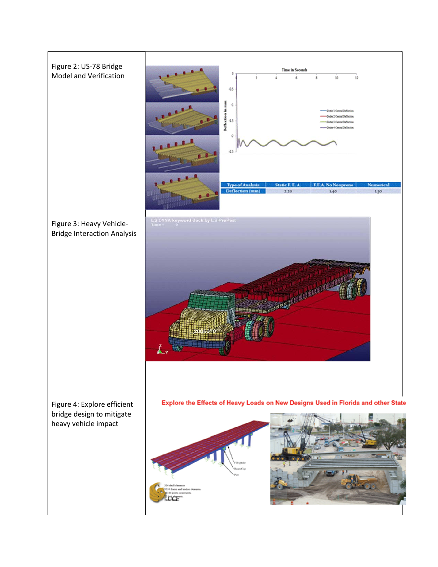## Figure 2: US‐78 Bridge Model and Verification



Figure 3: Heavy Vehicle‐ Bridge Interaction Analysis



Figure 4: Explore efficient bridge design to mitigate heavy vehicle impact

Explore the Effects of Heavy Loads on New Designs Used in Florida and other State

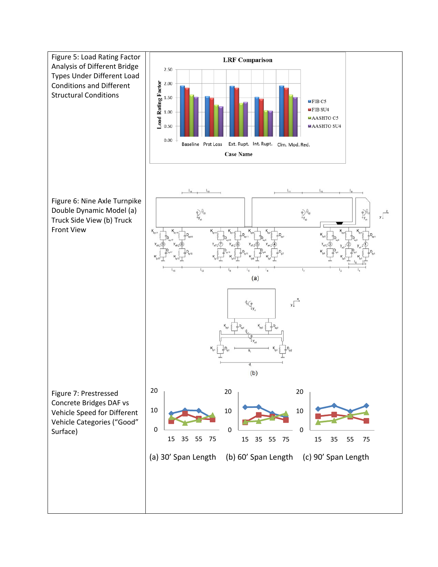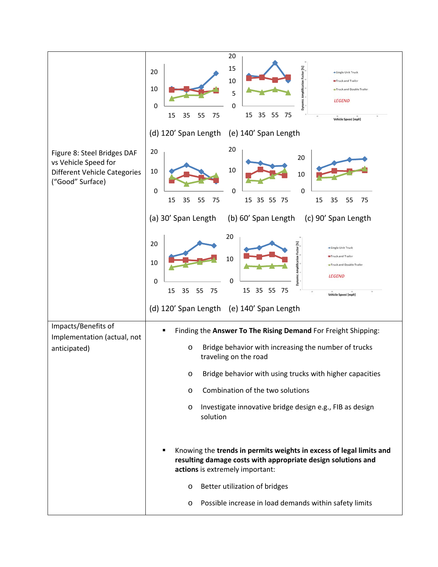